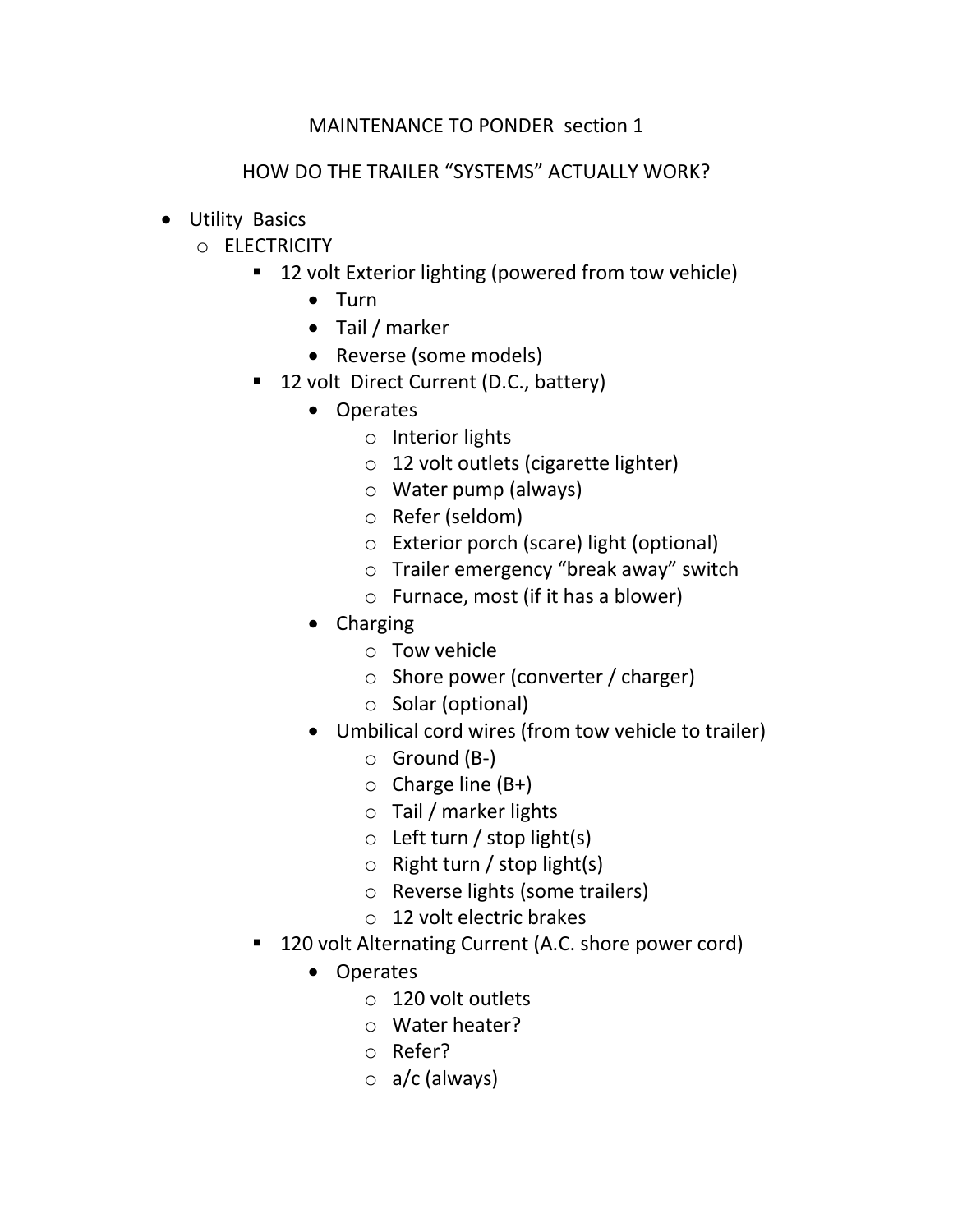## MAINTENANCE TO PONDER section 1

## HOW DO THE TRAILER "SYSTEMS" ACTUALLY WORK?

- Utility Basics
	- o ELECTRICITY
		- 12 volt Exterior lighting (powered from tow vehicle)
			- Turn
			- Tail / marker
			- Reverse (some models)
		- 12 volt Direct Current (D.C., battery)
			- Operates
				- o Interior lights
				- o 12 volt outlets (cigarette lighter)
				- o Water pump (always)
				- o Refer (seldom)
				- o Exterior porch (scare) light (optional)
				- o Trailer emergency "break away" switch
				- o Furnace, most (if it has a blower)
			- Charging
				- o Tow vehicle
				- o Shore power (converter / charger)
				- o Solar (optional)
			- Umbilical cord wires (from tow vehicle to trailer)
				- $\circ$  Ground (B-)
				- $\circ$  Charge line (B+)
				- o Tail / marker lights
				- $\circ$  Left turn / stop light(s)
				- $\circ$  Right turn / stop light(s)
				- o Reverse lights (some trailers)
				- o 12 volt electric brakes
		- 120 volt Alternating Current (A.C. shore power cord)
			- Operates
				- o 120 volt outlets
				- o Water heater?
				- o Refer?
				- $\circ$  a/c (always)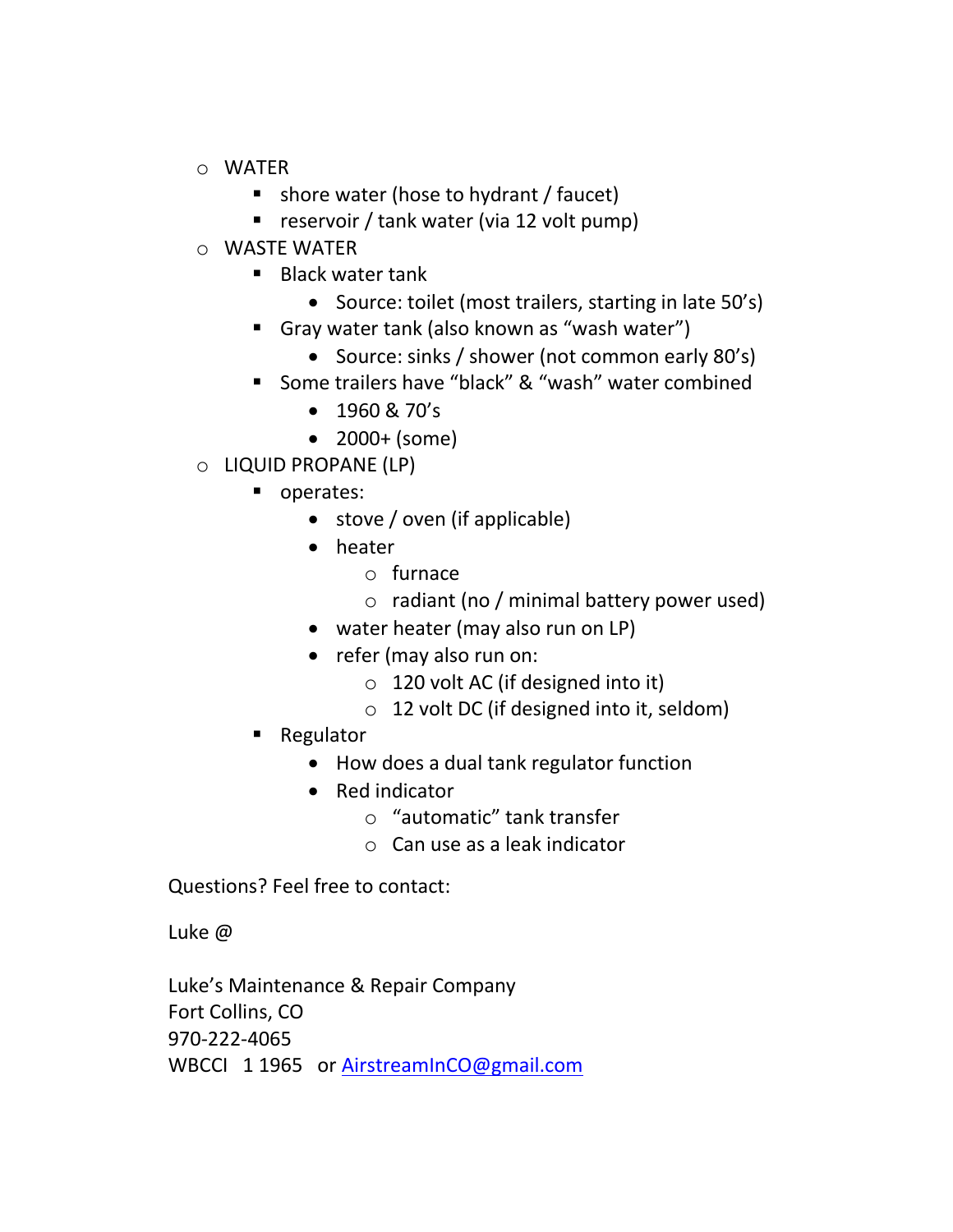- o WATER
	- shore water (hose to hydrant / faucet)
	- **P** reservoir / tank water (via 12 volt pump)
- o WASTE WATER
	- Black water tank
		- Source: toilet (most trailers, starting in late 50's)
	- Gray water tank (also known as "wash water")
		- Source: sinks / shower (not common early 80's)
	- Some trailers have "black" & "wash" water combined
		- $\bullet$  1960 & 70's
		- 2000+ (some)
- o LIQUID PROPANE (LP)
	- operates:
		- stove / oven (if applicable)
		- heater
			- o furnace
			- $\circ$  radiant (no / minimal battery power used)
		- water heater (may also run on LP)
		- refer (may also run on:
			- $\circ$  120 volt AC (if designed into it)
			- o 12 volt DC (if designed into it, seldom)
	- Regulator
		- How does a dual tank regulator function
		- Red indicator
			- o "automatic" tank transfer
			- o Can use as a leak indicator

Questions? Feel free to contact:

Luke @

Luke's Maintenance & Repair Company Fort Collins, CO 970-222-4065 WBCCI 1 1965 or [AirstreamInCO@gmail.com](mailto:AirstreamInCO@gmail.com)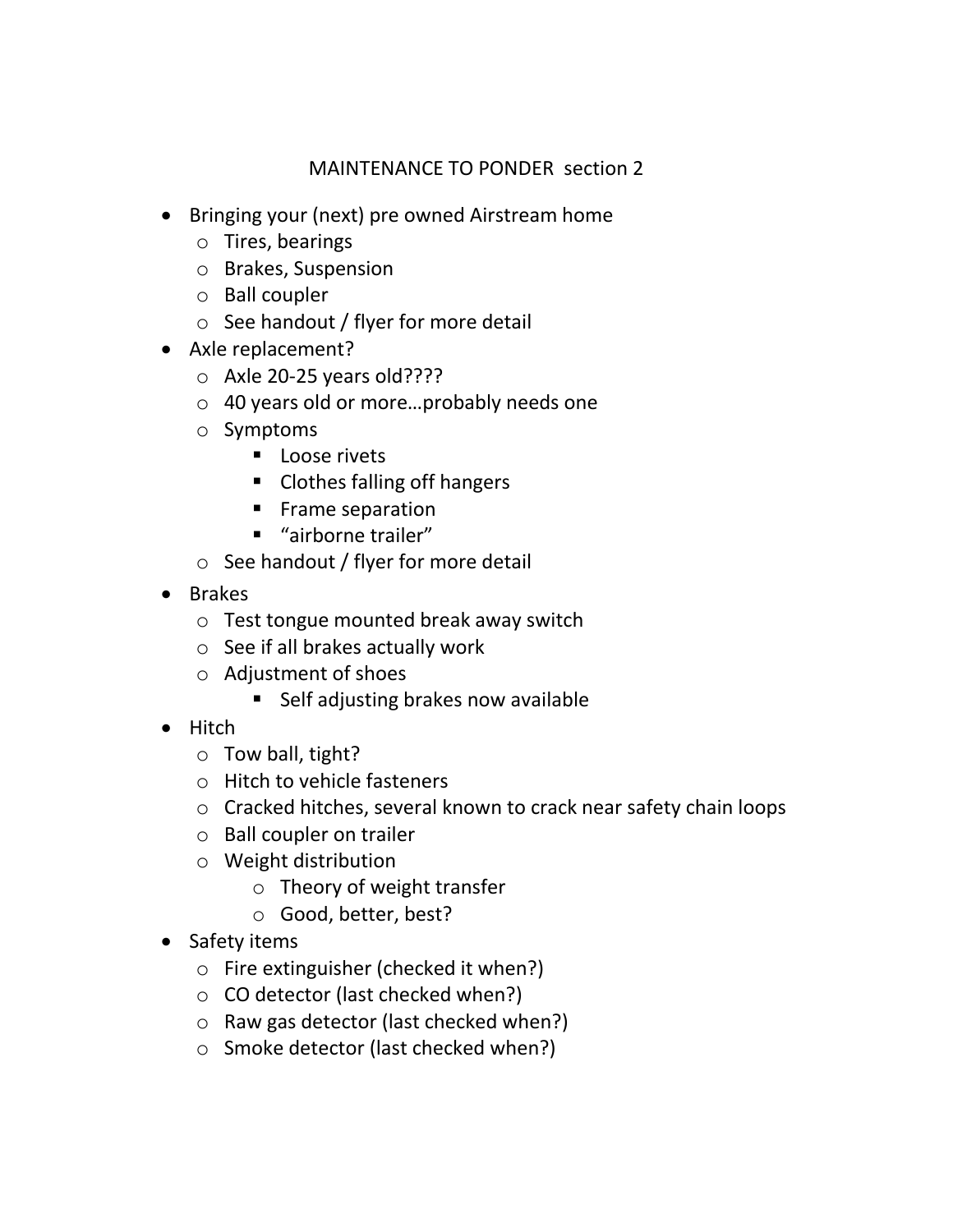## MAINTENANCE TO PONDER section 2

- Bringing your (next) pre owned Airstream home
	- o Tires, bearings
	- o Brakes, Suspension
	- o Ball coupler
	- $\circ$  See handout / flyer for more detail
- Axle replacement?
	- o Axle 20-25 years old????
	- o 40 years old or more…probably needs one
	- o Symptoms
		- **Loose rivets**
		- Clothes falling off hangers
		- **Frame separation**
		- "airborne trailer"
	- o See handout / flyer for more detail
- Brakes
	- o Test tongue mounted break away switch
	- o See if all brakes actually work
	- o Adjustment of shoes
		- Self adjusting brakes now available
- Hitch
	- o Tow ball, tight?
	- o Hitch to vehicle fasteners
	- o Cracked hitches, several known to crack near safety chain loops
	- o Ball coupler on trailer
	- o Weight distribution
		- o Theory of weight transfer
		- o Good, better, best?
- Safety items
	- o Fire extinguisher (checked it when?)
	- o CO detector (last checked when?)
	- o Raw gas detector (last checked when?)
	- o Smoke detector (last checked when?)